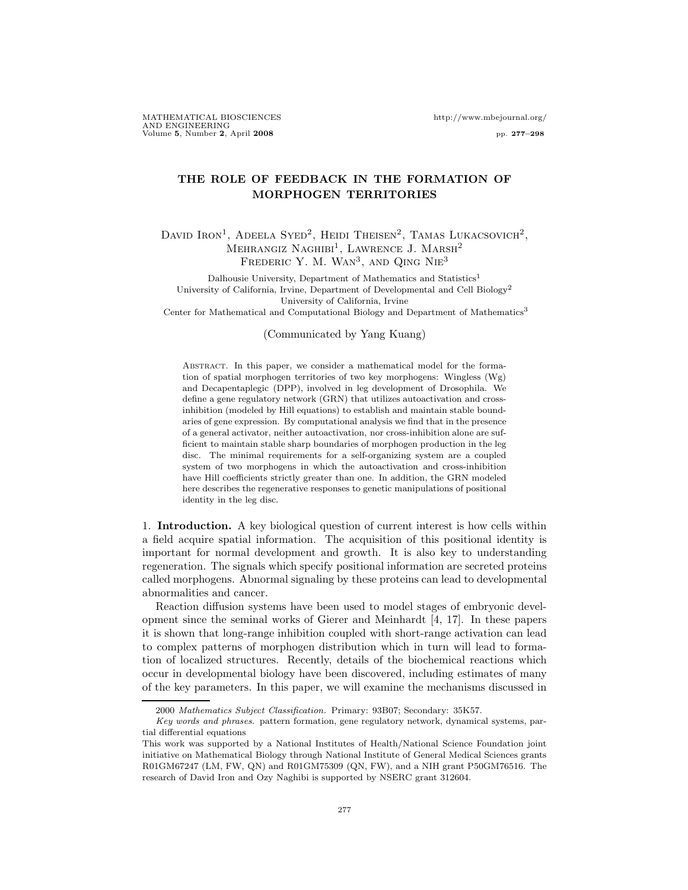MATHEMATICAL BIOSCIENCES http://www.mbejournal.org/ AND ENGINEERING Volume 5, Number 2, April 2008 pp. 277–298

# THE ROLE OF FEEDBACK IN THE FORMATION OF MORPHOGEN TERRITORIES

## DAVID IRON<sup>1</sup>, ADEELA SYED<sup>2</sup>, HEIDI THEISEN<sup>2</sup>, TAMAS LUKACSOVICH<sup>2</sup>, MEHRANGIZ NAGHIBI<sup>1</sup>, LAWRENCE J. MARSH<sup>2</sup> FREDERIC Y. M. WAN<sup>3</sup>, AND QING NIE<sup>3</sup>

Dalhousie University, Department of Mathematics and Statistics<sup>1</sup> University of California, Irvine, Department of Developmental and Cell Biology<sup>2</sup> University of California, Irvine

Center for Mathematical and Computational Biology and Department of Mathematics<sup>3</sup>

### (Communicated by Yang Kuang)

ABSTRACT. In this paper, we consider a mathematical model for the formation of spatial morphogen territories of two key morphogens: Wingless (Wg) and Decapentaplegic (DPP), involved in leg development of Drosophila. We define a gene regulatory network (GRN) that utilizes autoactivation and crossinhibition (modeled by Hill equations) to establish and maintain stable boundaries of gene expression. By computational analysis we find that in the presence of a general activator, neither autoactivation, nor cross-inhibition alone are sufficient to maintain stable sharp boundaries of morphogen production in the leg disc. The minimal requirements for a self-organizing system are a coupled system of two morphogens in which the autoactivation and cross-inhibition have Hill coefficients strictly greater than one. In addition, the GRN modeled here describes the regenerative responses to genetic manipulations of positional identity in the leg disc.

1. Introduction. A key biological question of current interest is how cells within a field acquire spatial information. The acquisition of this positional identity is important for normal development and growth. It is also key to understanding regeneration. The signals which specify positional information are secreted proteins called morphogens. Abnormal signaling by these proteins can lead to developmental abnormalities and cancer.

Reaction diffusion systems have been used to model stages of embryonic development since the seminal works of Gierer and Meinhardt [4, 17]. In these papers it is shown that long-range inhibition coupled with short-range activation can lead to complex patterns of morphogen distribution which in turn will lead to formation of localized structures. Recently, details of the biochemical reactions which occur in developmental biology have been discovered, including estimates of many of the key parameters. In this paper, we will examine the mechanisms discussed in

<sup>2000</sup> Mathematics Subject Classification. Primary: 93B07; Secondary: 35K57.

Key words and phrases. pattern formation, gene regulatory network, dynamical systems, partial differential equations

This work was supported by a National Institutes of Health/National Science Foundation joint initiative on Mathematical Biology through National Institute of General Medical Sciences grants R01GM67247 (LM, FW, QN) and R01GM75309 (QN, FW), and a NIH grant P50GM76516. The research of David Iron and Ozy Naghibi is supported by NSERC grant 312604.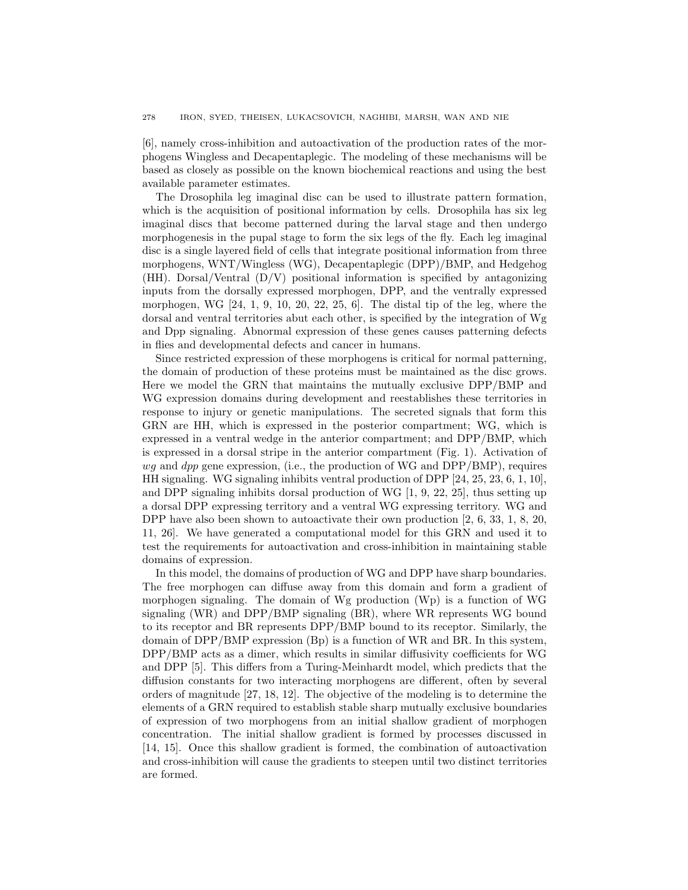[6], namely cross-inhibition and autoactivation of the production rates of the morphogens Wingless and Decapentaplegic. The modeling of these mechanisms will be based as closely as possible on the known biochemical reactions and using the best available parameter estimates.

The Drosophila leg imaginal disc can be used to illustrate pattern formation, which is the acquisition of positional information by cells. Drosophila has six leg imaginal discs that become patterned during the larval stage and then undergo morphogenesis in the pupal stage to form the six legs of the fly. Each leg imaginal disc is a single layered field of cells that integrate positional information from three morphogens, WNT/Wingless (WG), Decapentaplegic (DPP)/BMP, and Hedgehog  $(HH)$ . Dorsal/Ventral  $(D/V)$  positional information is specified by antagonizing inputs from the dorsally expressed morphogen, DPP, and the ventrally expressed morphogen, WG  $[24, 1, 9, 10, 20, 22, 25, 6]$ . The distal tip of the leg, where the dorsal and ventral territories abut each other, is specified by the integration of Wg and Dpp signaling. Abnormal expression of these genes causes patterning defects in flies and developmental defects and cancer in humans.

Since restricted expression of these morphogens is critical for normal patterning, the domain of production of these proteins must be maintained as the disc grows. Here we model the GRN that maintains the mutually exclusive DPP/BMP and WG expression domains during development and reestablishes these territories in response to injury or genetic manipulations. The secreted signals that form this GRN are HH, which is expressed in the posterior compartment; WG, which is expressed in a ventral wedge in the anterior compartment; and DPP/BMP, which is expressed in a dorsal stripe in the anterior compartment (Fig. 1). Activation of  $wg$  and  $dpp$  gene expression, (i.e., the production of WG and DPP/BMP), requires HH signaling. WG signaling inhibits ventral production of DPP [24, 25, 23, 6, 1, 10], and DPP signaling inhibits dorsal production of WG [1, 9, 22, 25], thus setting up a dorsal DPP expressing territory and a ventral WG expressing territory. WG and DPP have also been shown to autoactivate their own production [2, 6, 33, 1, 8, 20, 11, 26]. We have generated a computational model for this GRN and used it to test the requirements for autoactivation and cross-inhibition in maintaining stable domains of expression.

In this model, the domains of production of WG and DPP have sharp boundaries. The free morphogen can diffuse away from this domain and form a gradient of morphogen signaling. The domain of Wg production (Wp) is a function of WG signaling (WR) and DPP/BMP signaling (BR), where WR represents WG bound to its receptor and BR represents DPP/BMP bound to its receptor. Similarly, the domain of DPP/BMP expression (Bp) is a function of WR and BR. In this system, DPP/BMP acts as a dimer, which results in similar diffusivity coefficients for WG and DPP [5]. This differs from a Turing-Meinhardt model, which predicts that the diffusion constants for two interacting morphogens are different, often by several orders of magnitude [27, 18, 12]. The objective of the modeling is to determine the elements of a GRN required to establish stable sharp mutually exclusive boundaries of expression of two morphogens from an initial shallow gradient of morphogen concentration. The initial shallow gradient is formed by processes discussed in [14, 15]. Once this shallow gradient is formed, the combination of autoactivation and cross-inhibition will cause the gradients to steepen until two distinct territories are formed.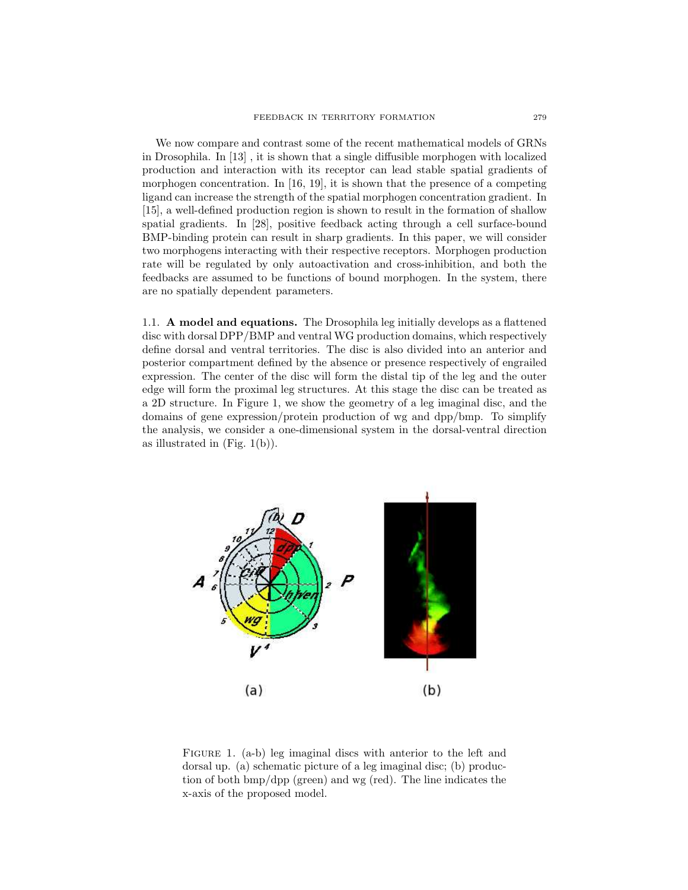We now compare and contrast some of the recent mathematical models of GRNs in Drosophila. In [13] , it is shown that a single diffusible morphogen with localized production and interaction with its receptor can lead stable spatial gradients of morphogen concentration. In [16, 19], it is shown that the presence of a competing ligand can increase the strength of the spatial morphogen concentration gradient. In [15], a well-defined production region is shown to result in the formation of shallow spatial gradients. In [28], positive feedback acting through a cell surface-bound BMP-binding protein can result in sharp gradients. In this paper, we will consider two morphogens interacting with their respective receptors. Morphogen production rate will be regulated by only autoactivation and cross-inhibition, and both the feedbacks are assumed to be functions of bound morphogen. In the system, there are no spatially dependent parameters.

1.1. A model and equations. The Drosophila leg initially develops as a flattened disc with dorsal DPP/BMP and ventral WG production domains, which respectively define dorsal and ventral territories. The disc is also divided into an anterior and posterior compartment defined by the absence or presence respectively of engrailed expression. The center of the disc will form the distal tip of the leg and the outer edge will form the proximal leg structures. At this stage the disc can be treated as a 2D structure. In Figure 1, we show the geometry of a leg imaginal disc, and the domains of gene expression/protein production of wg and dpp/bmp. To simplify the analysis, we consider a one-dimensional system in the dorsal-ventral direction as illustrated in  $(Fig. 1(b))$ .



FIGURE 1. (a-b) leg imaginal discs with anterior to the left and dorsal up. (a) schematic picture of a leg imaginal disc; (b) production of both bmp/dpp (green) and wg (red). The line indicates the x-axis of the proposed model.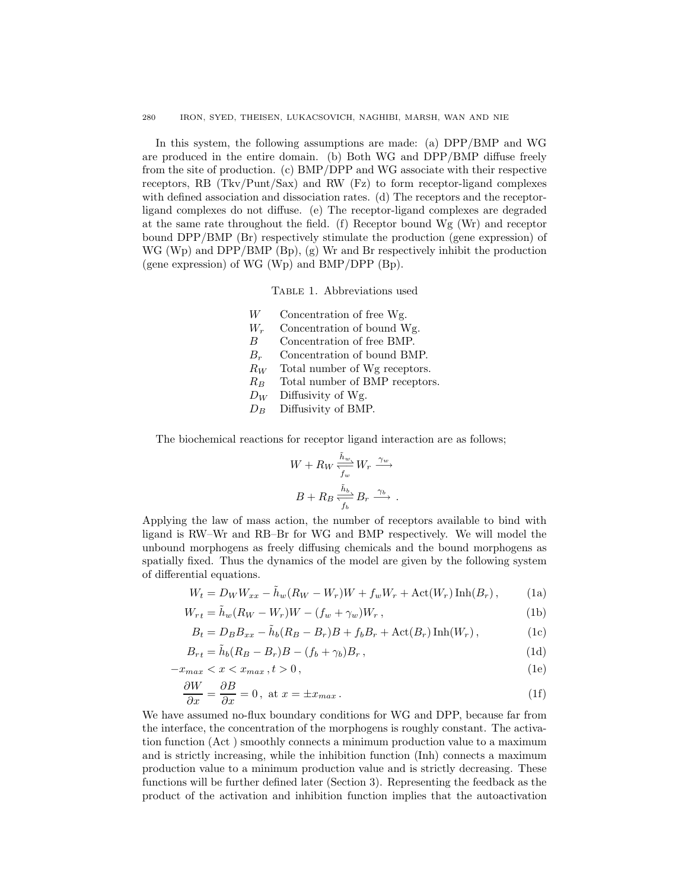In this system, the following assumptions are made: (a) DPP/BMP and WG are produced in the entire domain. (b) Both WG and DPP/BMP diffuse freely from the site of production. (c) BMP/DPP and WG associate with their respective receptors, RB (Tkv/Punt/Sax) and RW (Fz) to form receptor-ligand complexes with defined association and dissociation rates. (d) The receptors and the receptorligand complexes do not diffuse. (e) The receptor-ligand complexes are degraded at the same rate throughout the field. (f) Receptor bound Wg (Wr) and receptor bound DPP/BMP (Br) respectively stimulate the production (gene expression) of WG (Wp) and DPP/BMP (Bp), (g) Wr and Br respectively inhibit the production (gene expression) of WG (Wp) and BMP/DPP (Bp).

TABLE 1. Abbreviations used

- W Concentration of free Wg.
- $W_r$  Concentration of bound Wg.
- B Concentration of free BMP.
- $B_r$  Concentration of bound BMP.
- $R_W$  Total number of Wg receptors.
- $R_B$  Total number of BMP receptors.
- $D_W$  Diffusivity of Wg.
- $D_B$  Diffusivity of BMP.

The biochemical reactions for receptor ligand interaction are as follows;

$$
W + R_W \frac{\tilde{h}_w}{f_w} W_r \xrightarrow{\gamma_w} B + R_B \frac{\tilde{h}_b}{f_b} B_r \xrightarrow{\gamma_b}.
$$

Applying the law of mass action, the number of receptors available to bind with ligand is RW–Wr and RB–Br for WG and BMP respectively. We will model the unbound morphogens as freely diffusing chemicals and the bound morphogens as spatially fixed. Thus the dynamics of the model are given by the following system of differential equations.

$$
W_t = D_W W_{xx} - \tilde{h}_w (R_W - W_r) W + f_w W_r + \text{Act}(W_r) \text{Inh}(B_r), \quad (1a)
$$

$$
W_{rt} = \tilde{h}_w (R_W - W_r) W - (f_w + \gamma_w) W_r , \qquad (1b)
$$

$$
B_t = D_B B_{xx} - \tilde{h}_b (R_B - B_r) B + f_b B_r + \text{Act}(B_r) \text{Inh}(W_r), \qquad (1c)
$$

$$
B_{rt} = \tilde{h}_b (R_B - B_r) B - (f_b + \gamma_b) B_r, \qquad (1d)
$$

$$
-x_{max} < x < x_{max}, t > 0,\tag{1e}
$$

$$
\frac{\partial W}{\partial x} = \frac{\partial B}{\partial x} = 0, \text{ at } x = \pm x_{max}.
$$
 (1f)

We have assumed no-flux boundary conditions for WG and DPP, because far from the interface, the concentration of the morphogens is roughly constant. The activation function (Act ) smoothly connects a minimum production value to a maximum and is strictly increasing, while the inhibition function (Inh) connects a maximum production value to a minimum production value and is strictly decreasing. These functions will be further defined later (Section 3). Representing the feedback as the product of the activation and inhibition function implies that the autoactivation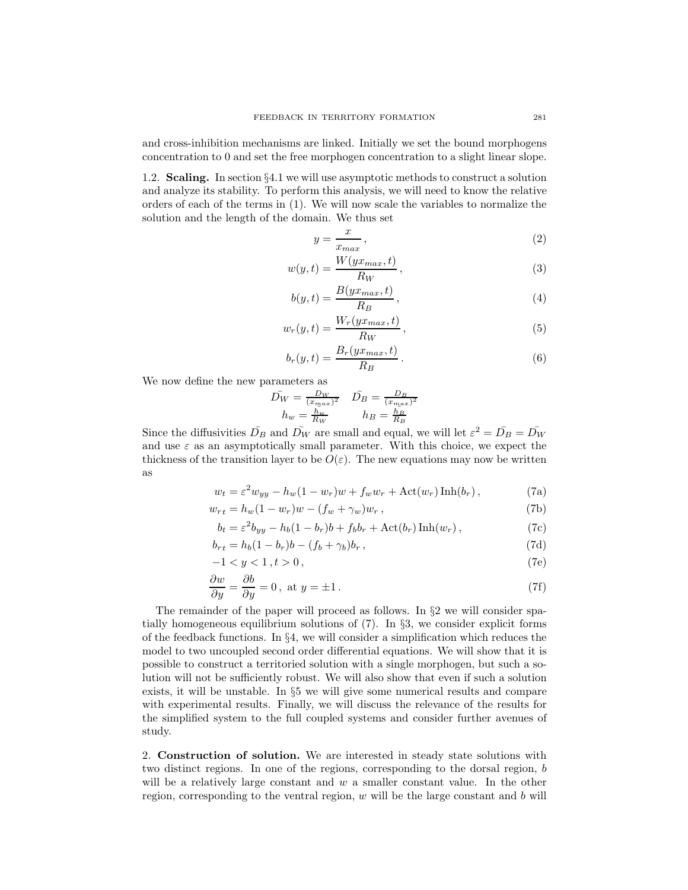and cross-inhibition mechanisms are linked. Initially we set the bound morphogens concentration to 0 and set the free morphogen concentration to a slight linear slope.

1.2. Scaling. In section §4.1 we will use asymptotic methods to construct a solution and analyze its stability. To perform this analysis, we will need to know the relative orders of each of the terms in (1). We will now scale the variables to normalize the solution and the length of the domain. We thus set

$$
y = \frac{x}{x_{max}},\tag{2}
$$

$$
w(y,t) = \frac{W(yx_{max},t)}{R_W},
$$
\n(3)

$$
b(y,t) = \frac{B(yx_{max},t)}{R_B},
$$
\n(4)

$$
w_r(y,t) = \frac{W_r(yx_{max},t)}{R_W},\tag{5}
$$

$$
b_r(y,t) = \frac{B_r(yx_{max},t)}{R_B}.
$$
\n<sup>(6)</sup>

We now define the new parameters as

$$
\begin{array}{cc}\n\bar{D_W} = \frac{D_W}{(x_{max})^2} & \bar{D_B} = \frac{D_B}{(x_{max})^2} \\
h_w = \frac{\bar{h}_w}{R_W} & h_B = \frac{\bar{h}_B}{R_B}\n\end{array}
$$

Since the diffusivities  $\bar{D}_B$  and  $\bar{D_W}$  are small and equal, we will let  $\varepsilon^2 = \bar{D_B} = \bar{D_W}$ and use  $\varepsilon$  as an asymptotically small parameter. With this choice, we expect the thickness of the transition layer to be  $O(\varepsilon)$ . The new equations may now be written as

$$
w_t = \varepsilon^2 w_{yy} - h_w(1 - w_r)w + f_w w_r + \text{Act}(w_r)\text{Inh}(b_r),\tag{7a}
$$

$$
w_{rt} = h_w(1 - w_r)w - (f_w + \gamma_w)w_r,
$$
 (7b)

$$
b_t = \varepsilon^2 b_{yy} - h_b (1 - b_r) b + f_b b_r + \text{Act}(b_r) \text{Inh}(w_r), \qquad (7c)
$$

$$
b_{rt} = h_b(1 - b_r)b - (f_b + \gamma_b)b_r,
$$
\n(7d)

$$
-1 < y < 1, t > 0,\tag{7e}
$$

$$
\frac{\partial w}{\partial y} = \frac{\partial b}{\partial y} = 0, \text{ at } y = \pm 1.
$$
 (7f)

The remainder of the paper will proceed as follows. In  $\S 2$  we will consider spatially homogeneous equilibrium solutions of  $(7)$ . In §3, we consider explicit forms of the feedback functions. In §4, we will consider a simplification which reduces the model to two uncoupled second order differential equations. We will show that it is possible to construct a territoried solution with a single morphogen, but such a solution will not be sufficiently robust. We will also show that even if such a solution exists, it will be unstable. In §5 we will give some numerical results and compare with experimental results. Finally, we will discuss the relevance of the results for the simplified system to the full coupled systems and consider further avenues of study.

2. Construction of solution. We are interested in steady state solutions with two distinct regions. In one of the regions, corresponding to the dorsal region, b will be a relatively large constant and  $w$  a smaller constant value. In the other region, corresponding to the ventral region,  $w$  will be the large constant and  $b$  will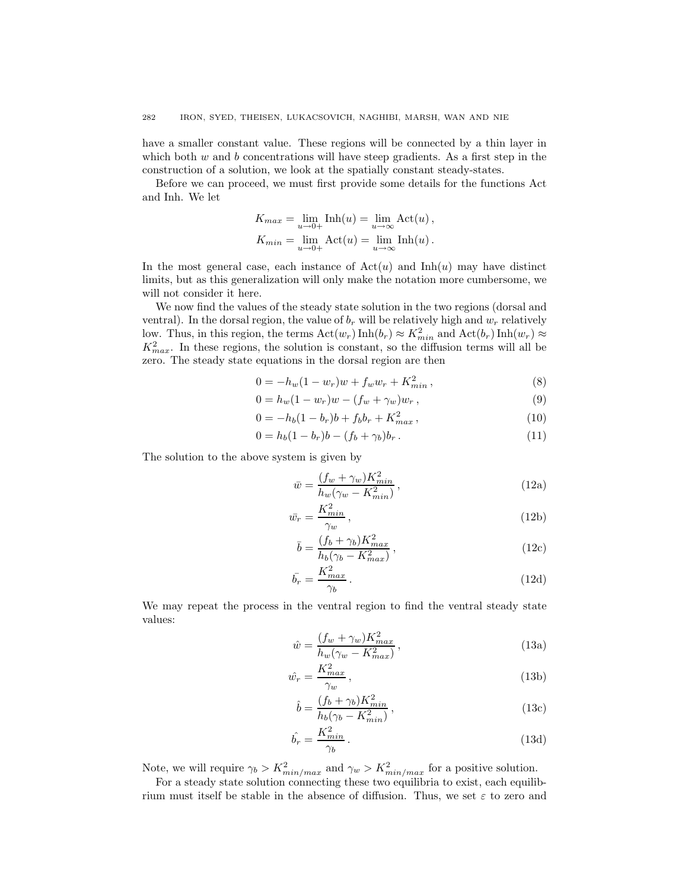have a smaller constant value. These regions will be connected by a thin layer in which both  $w$  and  $b$  concentrations will have steep gradients. As a first step in the construction of a solution, we look at the spatially constant steady-states.

Before we can proceed, we must first provide some details for the functions Act and Inh. We let

$$
K_{max} = \lim_{u \to 0+} \text{Inh}(u) = \lim_{u \to \infty} \text{Act}(u),
$$
  

$$
K_{min} = \lim_{u \to 0+} \text{Act}(u) = \lim_{u \to \infty} \text{Inh}(u).
$$

In the most general case, each instance of  $Act(u)$  and  $Inh(u)$  may have distinct limits, but as this generalization will only make the notation more cumbersome, we will not consider it here.

We now find the values of the steady state solution in the two regions (dorsal and ventral). In the dorsal region, the value of  $b_r$  will be relatively high and  $w_r$  relatively low. Thus, in this region, the terms  $\text{Act}(w_r) \text{Inh}(b_r) \approx K_{min}^2$  and  $\text{Act}(b_r) \text{Inh}(w_r) \approx$  $K_{max}^2$ . In these regions, the solution is constant, so the diffusion terms will all be zero. The steady state equations in the dorsal region are then

$$
0 = -h_w(1 - w_r)w + f_w w_r + K_{min}^2,
$$
\n(8)

$$
0 = h_w(1 - w_r)w - (f_w + \gamma_w)w_r,
$$
\n(9)

$$
0 = -h_b(1 - b_r)b + f_b b_r + K_{max}^2, \qquad (10)
$$

$$
0 = h_b(1 - b_r)b - (f_b + \gamma_b)b_r.
$$
\n(11)

The solution to the above system is given by

$$
\bar{w} = \frac{(f_w + \gamma_w)K_{min}^2}{h_w(\gamma_w - K_{min}^2)},\tag{12a}
$$

$$
\bar{w_r} = \frac{K_{min}^2}{\gamma_w},\tag{12b}
$$

$$
\bar{b} = \frac{(f_b + \gamma_b)K_{max}^2}{h_b(\gamma_b - K_{max}^2)},\tag{12c}
$$

$$
\bar{b_r} = \frac{K_{max}^2}{\gamma_b} \,. \tag{12d}
$$

We may repeat the process in the ventral region to find the ventral steady state values:

$$
\hat{w} = \frac{(f_w + \gamma_w)K_{max}^2}{h_w(\gamma_w - K_{max}^2)},\tag{13a}
$$

$$
\hat{w_r} = \frac{K_{max}^2}{\gamma_w},\tag{13b}
$$

$$
\hat{b} = \frac{(f_b + \gamma_b)K_{min}^2}{h_b(\gamma_b - K_{min}^2)},\tag{13c}
$$

$$
\hat{b_r} = \frac{K_{min}^2}{\gamma_b} \,. \tag{13d}
$$

Note, we will require  $\gamma_b > K_{min/max}^2$  and  $\gamma_w > K_{min/max}^2$  for a positive solution.

For a steady state solution connecting these two equilibria to exist, each equilibrium must itself be stable in the absence of diffusion. Thus, we set  $\varepsilon$  to zero and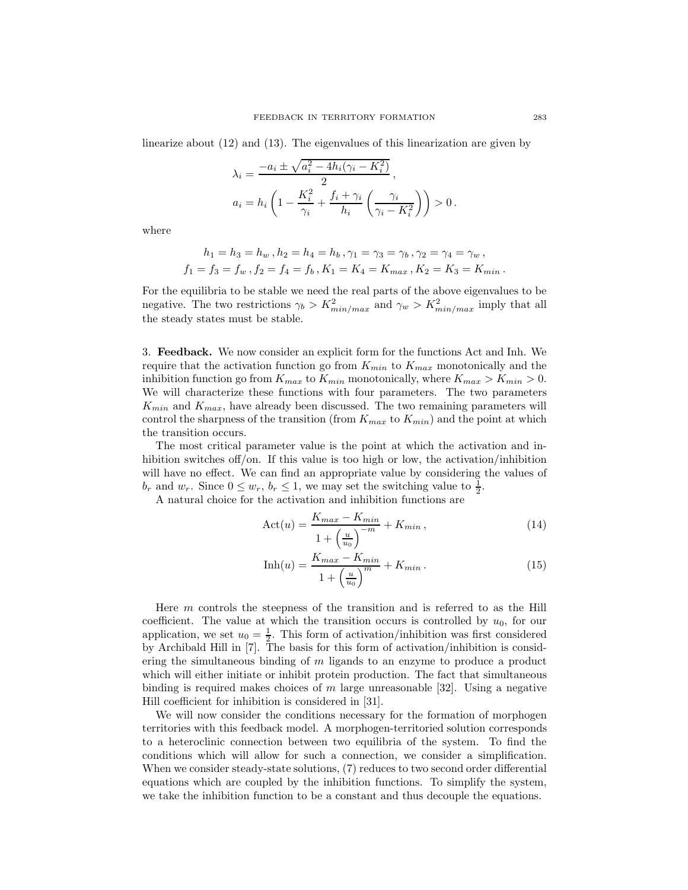linearize about (12) and (13). The eigenvalues of this linearization are given by

$$
\lambda_i = \frac{-a_i \pm \sqrt{a_i^2 - 4h_i(\gamma_i - K_i^2)}}{2},
$$
  
\n
$$
a_i = h_i \left(1 - \frac{K_i^2}{\gamma_i} + \frac{f_i + \gamma_i}{h_i} \left(\frac{\gamma_i}{\gamma_i - K_i^2}\right)\right) > 0.
$$

where

$$
h_1 = h_3 = h_w, h_2 = h_4 = h_b, \gamma_1 = \gamma_3 = \gamma_b, \gamma_2 = \gamma_4 = \gamma_w,
$$
  

$$
f_1 = f_3 = f_w, f_2 = f_4 = f_b, K_1 = K_4 = K_{max}, K_2 = K_3 = K_{min}.
$$

For the equilibria to be stable we need the real parts of the above eigenvalues to be negative. The two restrictions  $\gamma_b > K_{min/max}^2$  and  $\gamma_w > K_{min/max}^2$  imply that all the steady states must be stable.

3. Feedback. We now consider an explicit form for the functions Act and Inh. We require that the activation function go from  $K_{min}$  to  $K_{max}$  monotonically and the inhibition function go from  $K_{max}$  to  $K_{min}$  monotonically, where  $K_{max} > K_{min} > 0$ . We will characterize these functions with four parameters. The two parameters  $K_{min}$  and  $K_{max}$ , have already been discussed. The two remaining parameters will control the sharpness of the transition (from  $K_{max}$  to  $K_{min}$ ) and the point at which the transition occurs.

The most critical parameter value is the point at which the activation and inhibition switches of f/on. If this value is too high or low, the activation/inhibition will have no effect. We can find an appropriate value by considering the values of  $b_r$  and  $w_r$ . Since  $0 \leq w_r$ ,  $b_r \leq 1$ , we may set the switching value to  $\frac{1}{2}$ .

A natural choice for the activation and inhibition functions are

$$
Act(u) = \frac{K_{max} - K_{min}}{1 + \left(\frac{u}{u_0}\right)^{-m}} + K_{min},
$$
\n(14)

$$
\text{Inh}(u) = \frac{K_{max} - K_{min}}{1 + \left(\frac{u}{u_0}\right)^m} + K_{min} \,. \tag{15}
$$

Here m controls the steepness of the transition and is referred to as the Hill coefficient. The value at which the transition occurs is controlled by  $u_0$ , for our application, we set  $u_0 = \frac{1}{2}$ . This form of activation/inhibition was first considered by Archibald Hill in [7]. The basis for this form of activation/inhibition is considering the simultaneous binding of  $m$  ligands to an enzyme to produce a product which will either initiate or inhibit protein production. The fact that simultaneous binding is required makes choices of m large unreasonable  $[32]$ . Using a negative Hill coefficient for inhibition is considered in [31].

We will now consider the conditions necessary for the formation of morphogen territories with this feedback model. A morphogen-territoried solution corresponds to a heteroclinic connection between two equilibria of the system. To find the conditions which will allow for such a connection, we consider a simplification. When we consider steady-state solutions, (7) reduces to two second order differential equations which are coupled by the inhibition functions. To simplify the system, we take the inhibition function to be a constant and thus decouple the equations.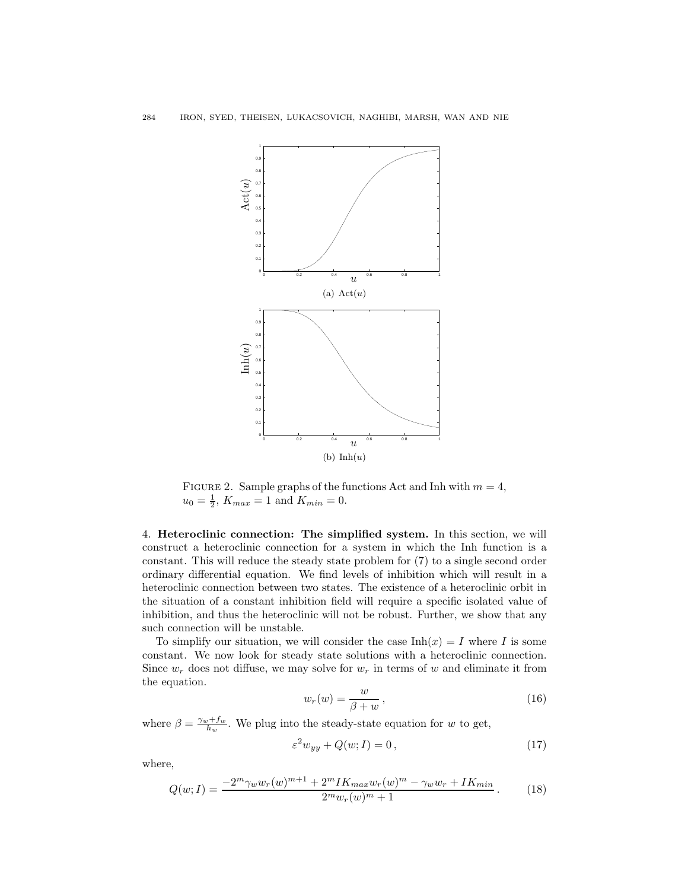

FIGURE 2. Sample graphs of the functions Act and Inh with  $m = 4$ ,  $u_0 = \frac{1}{2}$ ,  $K_{max} = 1$  and  $K_{min} = 0$ .

4. Heteroclinic connection: The simplified system. In this section, we will construct a heteroclinic connection for a system in which the Inh function is a constant. This will reduce the steady state problem for (7) to a single second order ordinary differential equation. We find levels of inhibition which will result in a heteroclinic connection between two states. The existence of a heteroclinic orbit in the situation of a constant inhibition field will require a specific isolated value of inhibition, and thus the heteroclinic will not be robust. Further, we show that any such connection will be unstable.

To simplify our situation, we will consider the case  $\text{Inh}(x) = I$  where I is some constant. We now look for steady state solutions with a heteroclinic connection. Since  $w_r$  does not diffuse, we may solve for  $w_r$  in terms of w and eliminate it from the equation.

$$
w_r(w) = \frac{w}{\beta + w},\tag{16}
$$

where  $\beta = \frac{\gamma_w + f_w}{h_w}$ . We plug into the steady-state equation for w to get,

$$
\varepsilon^2 w_{yy} + Q(w; I) = 0, \qquad (17)
$$

where,

$$
Q(w;I) = \frac{-2^m \gamma_w w_r(w)^{m+1} + 2^m I K_{max} w_r(w)^m - \gamma_w w_r + I K_{min}}{2^m w_r(w)^m + 1}.
$$
 (18)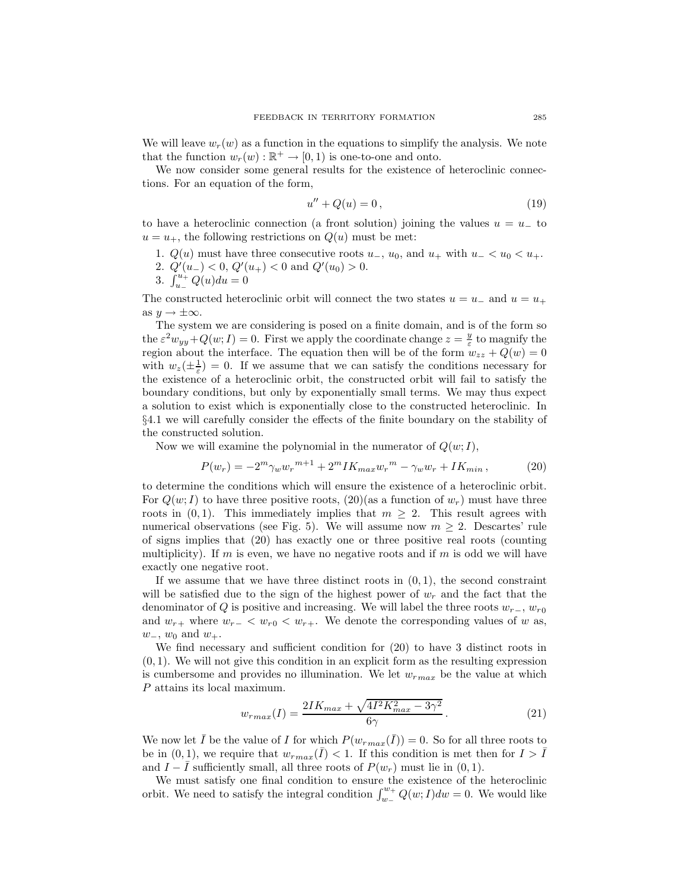We will leave  $w_r(w)$  as a function in the equations to simplify the analysis. We note that the function  $w_r(w): \mathbb{R}^+ \to [0,1)$  is one-to-one and onto.

We now consider some general results for the existence of heteroclinic connections. For an equation of the form,

$$
u'' + Q(u) = 0, \t\t(19)
$$

to have a heteroclinic connection (a front solution) joining the values  $u = u_-\;$  to  $u = u_+$ , the following restrictions on  $Q(u)$  must be met:

- 1.  $Q(u)$  must have three consecutive roots  $u_-, u_0$ , and  $u_+$  with  $u_- < u_0 < u_+$ .
- 2.  $Q'(u_{-}) < 0, Q'(u_{+}) < 0$  and  $Q'(u_{0}) > 0$ .

3. 
$$
\int_{u_{-}}^{u_{+}} Q(u) du = 0
$$

The constructed heteroclinic orbit will connect the two states  $u = u_-\,$  and  $u = u_+$ as  $y \to \pm \infty$ .

The system we are considering is posed on a finite domain, and is of the form so the  $\varepsilon^2 w_{yy} + Q(w; I) = 0$ . First we apply the coordinate change  $z = \frac{y}{\varepsilon}$  to magnify the region about the interface. The equation then will be of the form  $w_{zz} + Q(w) = 0$ with  $w_z(\pm \frac{1}{\varepsilon}) = 0$ . If we assume that we can satisfy the conditions necessary for the existence of a heteroclinic orbit, the constructed orbit will fail to satisfy the boundary conditions, but only by exponentially small terms. We may thus expect a solution to exist which is exponentially close to the constructed heteroclinic. In §4.1 we will carefully consider the effects of the finite boundary on the stability of the constructed solution.

Now we will examine the polynomial in the numerator of  $Q(w; I)$ ,

$$
P(w_r) = -2^m \gamma_w w_r^{m+1} + 2^m I K_{max} w_r^m - \gamma_w w_r + I K_{min}, \qquad (20)
$$

to determine the conditions which will ensure the existence of a heteroclinic orbit. For  $Q(w; I)$  to have three positive roots,  $(20)(as a function of w<sub>r</sub>)$  must have three roots in  $(0, 1)$ . This immediately implies that  $m \geq 2$ . This result agrees with numerical observations (see Fig. 5). We will assume now  $m \geq 2$ . Descartes' rule of signs implies that (20) has exactly one or three positive real roots (counting multiplicity). If m is even, we have no negative roots and if m is odd we will have exactly one negative root.

If we assume that we have three distinct roots in  $(0, 1)$ , the second constraint will be satisfied due to the sign of the highest power of  $w_r$  and the fact that the denominator of Q is positive and increasing. We will label the three roots  $w_{r-}$ ,  $w_{r0}$ and  $w_{r+}$  where  $w_{r-} < w_{r0} < w_{r+}$ . We denote the corresponding values of w as,  $w_-, w_0$  and  $w_+.$ 

We find necessary and sufficient condition for (20) to have 3 distinct roots in  $(0, 1)$ . We will not give this condition in an explicit form as the resulting expression is cumbersome and provides no illumination. We let  $w_{rmax}$  be the value at which P attains its local maximum.

$$
w_{r_{max}}(I) = \frac{2IK_{max} + \sqrt{4I^2K_{max}^2 - 3\gamma^2}}{6\gamma}.
$$
 (21)

We now let  $\overline{I}$  be the value of I for which  $P(w_{rmax}(\overline{I})) = 0$ . So for all three roots to be in  $(0, 1)$ , we require that  $w_{rmax}(\bar{I}) < 1$ . If this condition is met then for  $I > \bar{I}$ and  $I - I$  sufficiently small, all three roots of  $P(w_r)$  must lie in  $(0, 1)$ .

We must satisfy one final condition to ensure the existence of the heteroclinic orbit. We need to satisfy the integral condition  $\int_{w_-}^{w_+} Q(w; I) dw = 0$ . We would like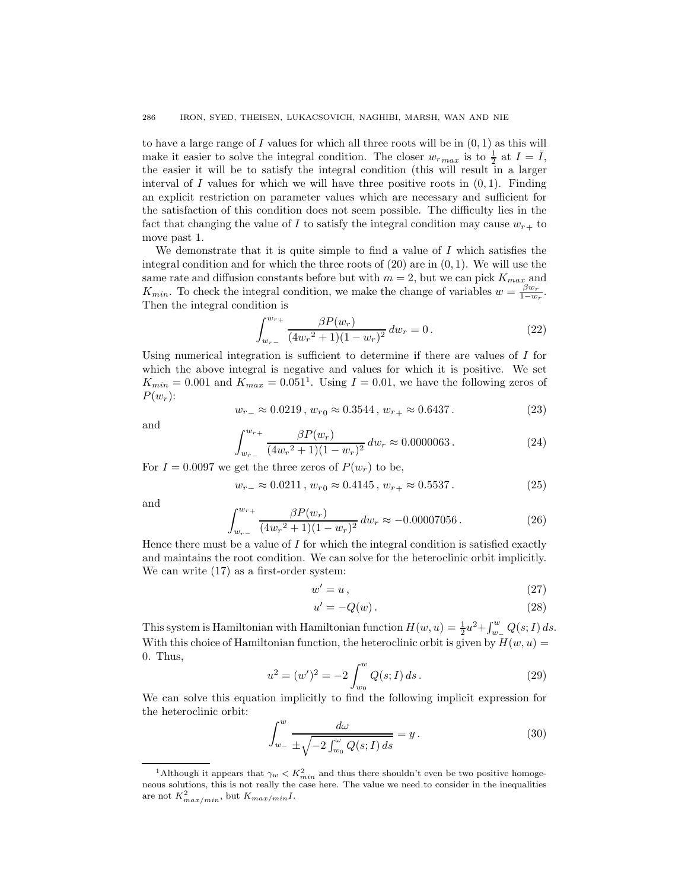to have a large range of  $I$  values for which all three roots will be in  $(0, 1)$  as this will make it easier to solve the integral condition. The closer  $w_{rmax}$  is to  $\frac{1}{2}$  at  $I = \overline{I}$ , the easier it will be to satisfy the integral condition (this will result in a larger interval of I values for which we will have three positive roots in  $(0, 1)$ . Finding an explicit restriction on parameter values which are necessary and sufficient for the satisfaction of this condition does not seem possible. The difficulty lies in the fact that changing the value of I to satisfy the integral condition may cause  $w_{r+}$  to move past 1.

We demonstrate that it is quite simple to find a value of  $I$  which satisfies the integral condition and for which the three roots of  $(20)$  are in  $(0, 1)$ . We will use the same rate and diffusion constants before but with  $m = 2$ , but we can pick  $K_{max}$  and  $K_{min}$ . To check the integral condition, we make the change of variables  $w = \frac{\beta w_r}{1 - w_r}$ . Then the integral condition is

$$
\int_{w_{r-}}^{w_{r+}} \frac{\beta P(w_r)}{(4w_r^2 + 1)(1 - w_r)^2} \, dw_r = 0 \,. \tag{22}
$$

Using numerical integration is sufficient to determine if there are values of I for which the above integral is negative and values for which it is positive. We set  $K_{min} = 0.001$  and  $K_{max} = 0.051<sup>1</sup>$ . Using  $I = 0.01$ , we have the following zeros of  $P(w_r)$ :

$$
w_{r-} \approx 0.0219, w_{r0} \approx 0.3544, w_{r+} \approx 0.6437. \tag{23}
$$

and

$$
\int_{w_{r-}}^{w_{r+}} \frac{\beta P(w_r)}{(4w_r^2 + 1)(1 - w_r)^2} \, dw_r \approx 0.0000063 \,. \tag{24}
$$

For  $I = 0.0097$  we get the three zeros of  $P(w_r)$  to be,

$$
w_{r-} \approx 0.0211, w_{r0} \approx 0.4145, w_{r+} \approx 0.5537. \tag{25}
$$

and

$$
\int_{w_{r-}}^{w_{r+}} \frac{\beta P(w_r)}{(4w_r^2 + 1)(1 - w_r)^2} \, dw_r \approx -0.00007056 \,. \tag{26}
$$

Hence there must be a value of  $I$  for which the integral condition is satisfied exactly and maintains the root condition. We can solve for the heteroclinic orbit implicitly. We can write  $(17)$  as a first-order system:

$$
w' = u \,,\tag{27}
$$

$$
u' = -Q(w). \tag{28}
$$

This system is Hamiltonian with Hamiltonian function  $H(w, u) = \frac{1}{2}u^2 + \int_{w_-}^w Q(s; I) ds$ . With this choice of Hamiltonian function, the heteroclinic orbit is given by  $H(w, u) =$ 0. Thus,

$$
u^{2} = (w')^{2} = -2 \int_{w_{0}}^{w} Q(s; I) ds.
$$
 (29)

We can solve this equation implicitly to find the following implicit expression for the heteroclinic orbit:

$$
\int_{w_{-}}^{w} \frac{d\omega}{\pm \sqrt{-2 \int_{w_{0}}^{\omega} Q(s; I) ds}} = y.
$$
\n(30)

<sup>&</sup>lt;sup>1</sup>Although it appears that  $\gamma_w < K_{min}^2$  and thus there shouldn't even be two positive homogeneous solutions, this is not really the case here. The value we need to consider in the inequalities are not  $K_{max/min}^2$ , but  $K_{max/min}I$ .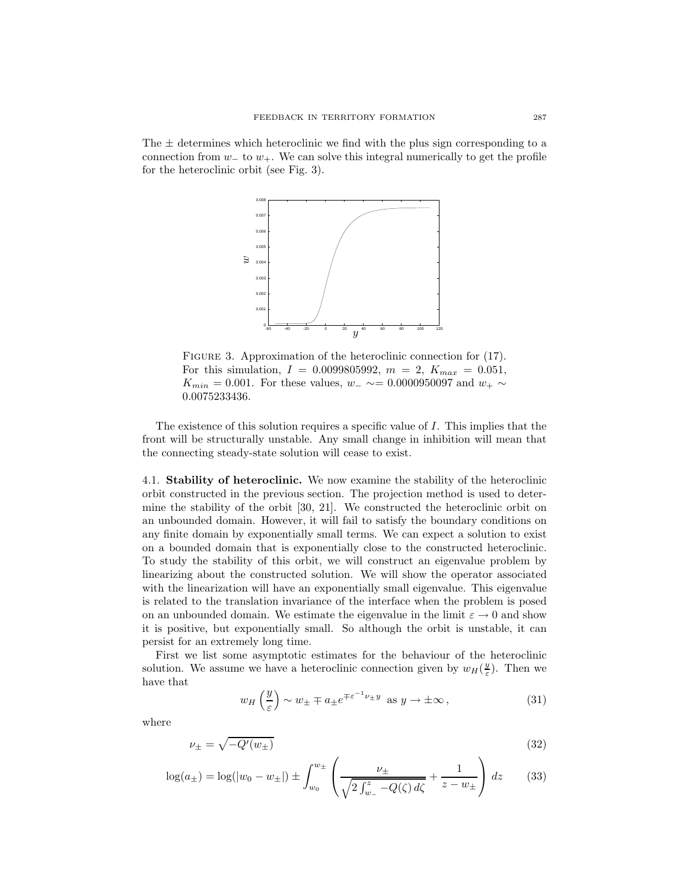The  $\pm$  determines which heteroclinic we find with the plus sign corresponding to a connection from  $w_+$  to  $w_+$ . We can solve this integral numerically to get the profile for the heteroclinic orbit (see Fig. 3).



FIGURE 3. Approximation of the heteroclinic connection for  $(17)$ . For this simulation,  $I = 0.0099805992$ ,  $m = 2$ ,  $K_{max} = 0.051$ ,  $K_{min} = 0.001$ . For these values,  $w_- \sim 0.0000950097$  and  $w_+ \sim$ 0.0075233436.

The existence of this solution requires a specific value of I. This implies that the front will be structurally unstable. Any small change in inhibition will mean that the connecting steady-state solution will cease to exist.

4.1. Stability of heteroclinic. We now examine the stability of the heteroclinic orbit constructed in the previous section. The projection method is used to determine the stability of the orbit [30, 21]. We constructed the heteroclinic orbit on an unbounded domain. However, it will fail to satisfy the boundary conditions on any finite domain by exponentially small terms. We can expect a solution to exist on a bounded domain that is exponentially close to the constructed heteroclinic. To study the stability of this orbit, we will construct an eigenvalue problem by linearizing about the constructed solution. We will show the operator associated with the linearization will have an exponentially small eigenvalue. This eigenvalue is related to the translation invariance of the interface when the problem is posed on an unbounded domain. We estimate the eigenvalue in the limit  $\varepsilon \to 0$  and show it is positive, but exponentially small. So although the orbit is unstable, it can persist for an extremely long time.

First we list some asymptotic estimates for the behaviour of the heteroclinic solution. We assume we have a heteroclinic connection given by  $w_H(\frac{y}{\varepsilon})$ . Then we have that

$$
w_H\left(\frac{y}{\varepsilon}\right) \sim w_{\pm} \mp a_{\pm} e^{\mp \varepsilon^{-1} \nu_{\pm} y} \text{ as } y \to \pm \infty ,
$$
 (31)

where

$$
\nu_{\pm} = \sqrt{-Q'(w_{\pm})} \tag{32}
$$

$$
\log(a_{\pm}) = \log(|w_0 - w_{\pm}|) \pm \int_{w_0}^{w_{\pm}} \left( \frac{\nu_{\pm}}{\sqrt{2 \int_{w_{-}}^z -Q(\zeta) d\zeta}} + \frac{1}{z - w_{\pm}} \right) dz \tag{33}
$$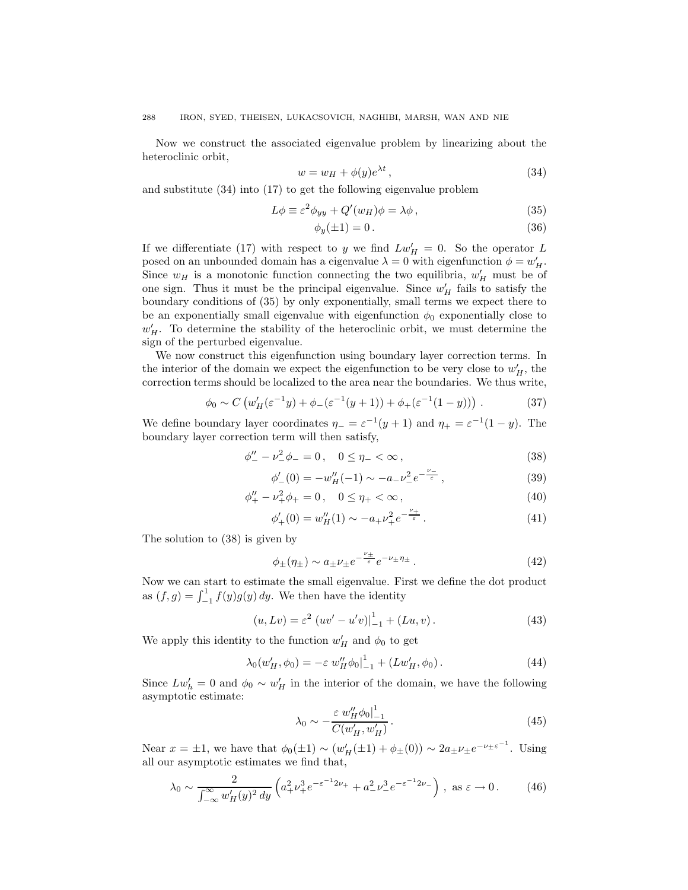Now we construct the associated eigenvalue problem by linearizing about the heteroclinic orbit,

$$
w = w_H + \phi(y)e^{\lambda t}, \qquad (34)
$$

and substitute (34) into (17) to get the following eigenvalue problem

$$
L\phi \equiv \varepsilon^2 \phi_{yy} + Q'(w_H)\phi = \lambda \phi, \qquad (35)
$$

$$
\phi_y(\pm 1) = 0. \tag{36}
$$

If we differentiate (17) with respect to y we find  $Lw'_H = 0$ . So the operator L posed on an unbounded domain has a eigenvalue  $\lambda = 0$  with eigenfunction  $\phi = w_H'$ . Since  $w_H$  is a monotonic function connecting the two equilibria,  $w'_H$  must be of one sign. Thus it must be the principal eigenvalue. Since  $w'_H$  fails to satisfy the boundary conditions of (35) by only exponentially, small terms we expect there to be an exponentially small eigenvalue with eigenfunction  $\phi_0$  exponentially close to  $w'_H$ . To determine the stability of the heteroclinic orbit, we must determine the sign of the perturbed eigenvalue.

We now construct this eigenfunction using boundary layer correction terms. In the interior of the domain we expect the eigenfunction to be very close to  $w'_H$ , the correction terms should be localized to the area near the boundaries. We thus write,

$$
\phi_0 \sim C \left( w'_H (\varepsilon^{-1} y) + \phi_-(\varepsilon^{-1} (y+1)) + \phi_+(\varepsilon^{-1} (1-y)) \right) . \tag{37}
$$

We define boundary layer coordinates  $\eta_{-} = \varepsilon^{-1}(y+1)$  and  $\eta_{+} = \varepsilon^{-1}(1-y)$ . The boundary layer correction term will then satisfy,

$$
\phi''_{-} - \nu_{-}^{2} \phi_{-} = 0, \quad 0 \le \eta_{-} < \infty, \tag{38}
$$

$$
\phi'_{-}(0) = -w_H''(-1) \sim -a_{-}\nu_{-}^2 e^{-\frac{\nu_{-}}{\varepsilon}},\tag{39}
$$

$$
\phi''_+ - \nu_+^2 \phi_+ = 0 \,, \quad 0 \le \eta_+ < \infty \,, \tag{40}
$$

$$
\phi'_{+}(0) = w''_H(1) \sim -a_+ \nu_+^2 e^{-\frac{\nu_+}{\varepsilon}}.
$$
\n(41)

The solution to (38) is given by

$$
\phi_{\pm}(\eta_{\pm}) \sim a_{\pm} \nu_{\pm} e^{-\frac{\nu_{\pm}}{\varepsilon}} e^{-\nu_{\pm} \eta_{\pm}}.
$$
\n(42)

Now we can start to estimate the small eigenvalue. First we define the dot product as  $(f, g) = \int_{-1}^{1} f(y)g(y) dy$ . We then have the identity

$$
(u, Lv) = \varepsilon^2 (uv' - u'v)|_{-1}^1 + (Lu, v).
$$
 (43)

We apply this identity to the function  $w'_H$  and  $\phi_0$  to get

$$
\lambda_0(w'_H, \phi_0) = -\varepsilon w''_H \phi_0 \big|_{-1}^1 + (Lw'_H, \phi_0).
$$
 (44)

Since  $Lw'_{h} = 0$  and  $\phi_0 \sim w'_{H}$  in the interior of the domain, we have the following asymptotic estimate:

$$
\lambda_0 \sim -\frac{\varepsilon \ w_H^{\prime\prime} \phi_0|_{-1}^1}{C(w_H^{\prime}, w_H^{\prime})} \,. \tag{45}
$$

Near  $x = \pm 1$ , we have that  $\phi_0(\pm 1) \sim (w'_H(\pm 1) + \phi_{\pm}(0)) \sim 2a_{\pm} \nu_{\pm} e^{-\nu_{\pm} \varepsilon^{-1}}$ . Using all our asymptotic estimates we find that,

$$
\lambda_0 \sim \frac{2}{\int_{-\infty}^{\infty} w'_H(y)^2 \, dy} \left( a_+^2 \nu_+^3 e^{-\varepsilon^{-1} 2\nu_+} + a_-^2 \nu_-^3 e^{-\varepsilon^{-1} 2\nu_-} \right), \text{ as } \varepsilon \to 0. \tag{46}
$$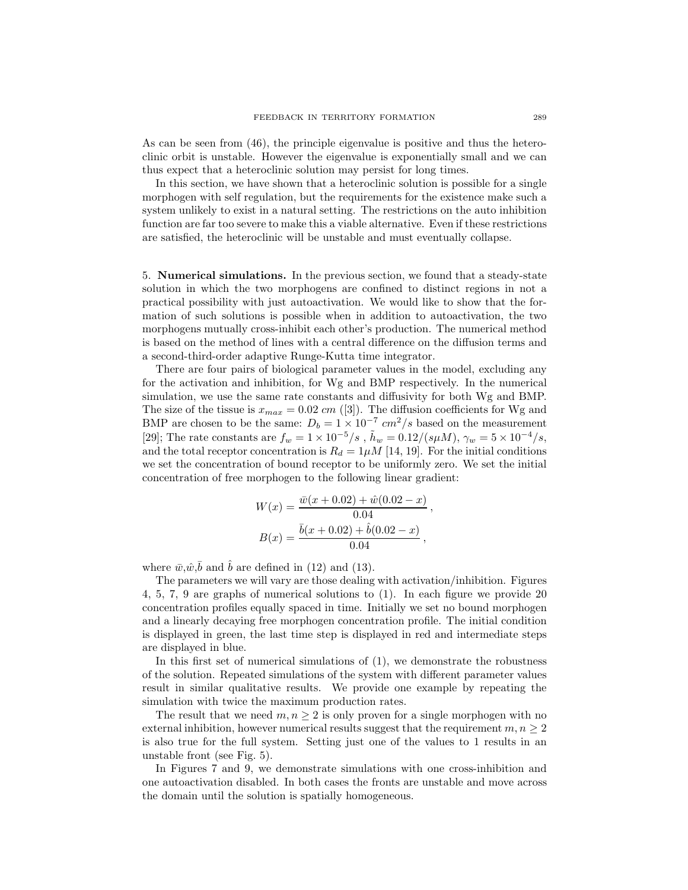As can be seen from (46), the principle eigenvalue is positive and thus the heteroclinic orbit is unstable. However the eigenvalue is exponentially small and we can thus expect that a heteroclinic solution may persist for long times.

In this section, we have shown that a heteroclinic solution is possible for a single morphogen with self regulation, but the requirements for the existence make such a system unlikely to exist in a natural setting. The restrictions on the auto inhibition function are far too severe to make this a viable alternative. Even if these restrictions are satisfied, the heteroclinic will be unstable and must eventually collapse.

5. Numerical simulations. In the previous section, we found that a steady-state solution in which the two morphogens are confined to distinct regions in not a practical possibility with just autoactivation. We would like to show that the formation of such solutions is possible when in addition to autoactivation, the two morphogens mutually cross-inhibit each other's production. The numerical method is based on the method of lines with a central difference on the diffusion terms and a second-third-order adaptive Runge-Kutta time integrator.

There are four pairs of biological parameter values in the model, excluding any for the activation and inhibition, for Wg and BMP respectively. In the numerical simulation, we use the same rate constants and diffusivity for both Wg and BMP. The size of the tissue is  $x_{max} = 0.02$  cm ([3]). The diffusion coefficients for Wg and BMP are chosen to be the same:  $D_b = 1 \times 10^{-7}$  cm<sup>2</sup>/s based on the measurement [29]; The rate constants are  $f_w = 1 \times 10^{-5}/s$ ,  $\tilde{h}_w = 0.12/(s \mu M)$ ,  $\gamma_w = 5 \times 10^{-4}/s$ , and the total receptor concentration is  $R_d = 1 \mu M$  [14, 19]. For the initial conditions we set the concentration of bound receptor to be uniformly zero. We set the initial concentration of free morphogen to the following linear gradient:

$$
W(x) = \frac{\bar{w}(x + 0.02) + \hat{w}(0.02 - x)}{0.04},
$$

$$
B(x) = \frac{\bar{b}(x + 0.02) + \hat{b}(0.02 - x)}{0.04},
$$

where  $\bar{w}, \hat{w}, \bar{b}$  and  $\hat{b}$  are defined in (12) and (13).

The parameters we will vary are those dealing with activation/inhibition. Figures 4, 5, 7, 9 are graphs of numerical solutions to (1). In each figure we provide 20 concentration profiles equally spaced in time. Initially we set no bound morphogen and a linearly decaying free morphogen concentration profile. The initial condition is displayed in green, the last time step is displayed in red and intermediate steps are displayed in blue.

In this first set of numerical simulations of (1), we demonstrate the robustness of the solution. Repeated simulations of the system with different parameter values result in similar qualitative results. We provide one example by repeating the simulation with twice the maximum production rates.

The result that we need  $m, n \geq 2$  is only proven for a single morphogen with no external inhibition, however numerical results suggest that the requirement  $m, n \geq 2$ is also true for the full system. Setting just one of the values to 1 results in an unstable front (see Fig. 5).

In Figures 7 and 9, we demonstrate simulations with one cross-inhibition and one autoactivation disabled. In both cases the fronts are unstable and move across the domain until the solution is spatially homogeneous.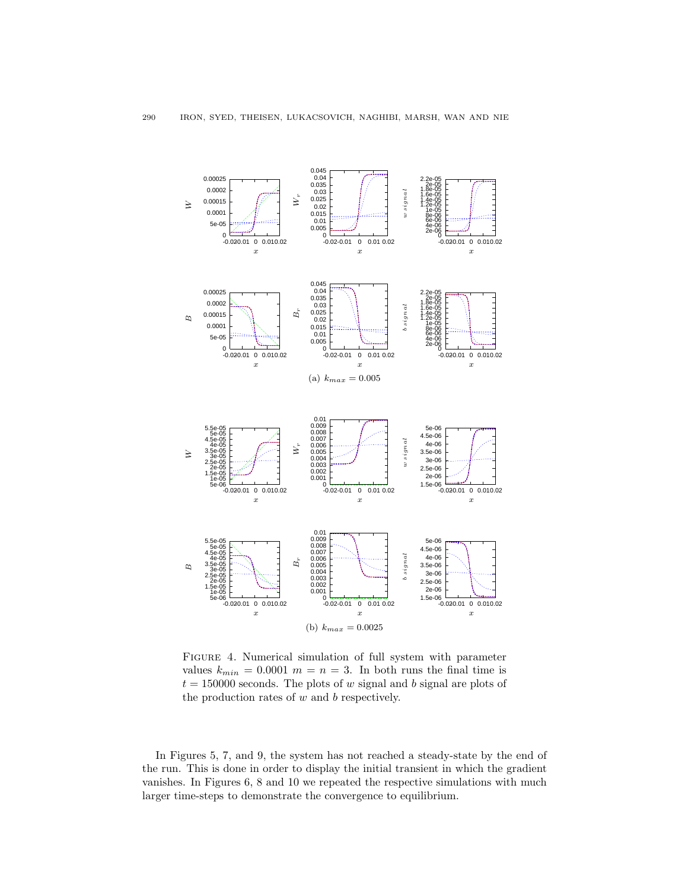

Figure 4. Numerical simulation of full system with parameter values  $k_{min} = 0.0001$   $m = n = 3$ . In both runs the final time is  $t = 150000$  seconds. The plots of w signal and b signal are plots of the production rates of  $w$  and  $b$  respectively.

In Figures 5, 7, and 9, the system has not reached a steady-state by the end of the run. This is done in order to display the initial transient in which the gradient vanishes. In Figures 6, 8 and 10 we repeated the respective simulations with much larger time-steps to demonstrate the convergence to equilibrium.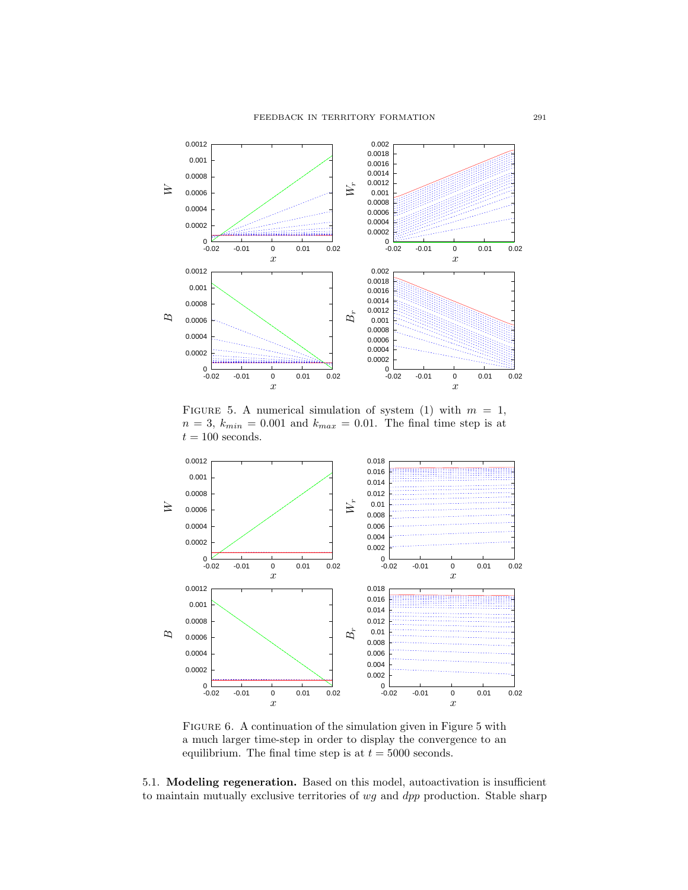#### FEEDBACK IN TERRITORY FORMATION 291



FIGURE 5. A numerical simulation of system (1) with  $m = 1$ ,  $n = 3$ ,  $k_{min} = 0.001$  and  $k_{max} = 0.01$ . The final time step is at  $t=100$  seconds.



Figure 6. A continuation of the simulation given in Figure 5 with a much larger time-step in order to display the convergence to an equilibrium. The final time step is at  $t = 5000$  seconds.

5.1. Modeling regeneration. Based on this model, autoactivation is insufficient to maintain mutually exclusive territories of  $wg$  and  $dpp$  production. Stable sharp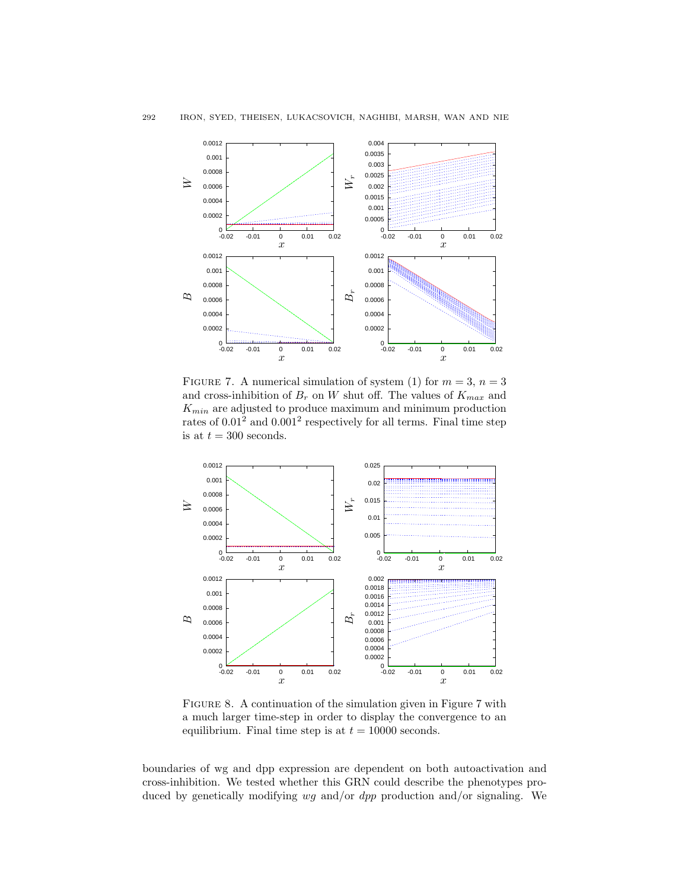

FIGURE 7. A numerical simulation of system (1) for  $m = 3$ ,  $n = 3$ and cross-inhibition of  $B_r$  on W shut off. The values of  $K_{max}$  and  $K_{min}$  are adjusted to produce maximum and minimum production rates of  $0.01^2$  and  $0.001^2$  respectively for all terms. Final time step is at  $t = 300$  seconds.



Figure 8. A continuation of the simulation given in Figure 7 with a much larger time-step in order to display the convergence to an equilibrium. Final time step is at  $t = 10000$  seconds.

boundaries of wg and dpp expression are dependent on both autoactivation and cross-inhibition. We tested whether this GRN could describe the phenotypes produced by genetically modifying  $wg$  and/or  $dpp$  production and/or signaling. We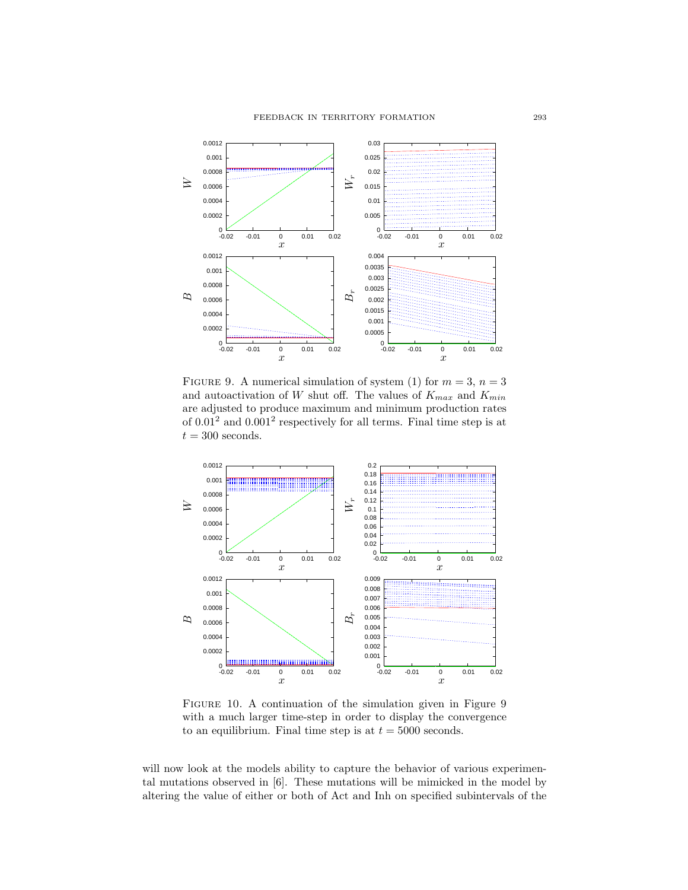

FIGURE 9. A numerical simulation of system (1) for  $m = 3$ ,  $n = 3$ and autoactivation of W shut off. The values of  $K_{max}$  and  $K_{min}$ are adjusted to produce maximum and minimum production rates of  $0.01<sup>2</sup>$  and  $0.001<sup>2</sup>$  respectively for all terms. Final time step is at  $t = 300$  seconds.



FIGURE 10. A continuation of the simulation given in Figure 9 with a much larger time-step in order to display the convergence to an equilibrium. Final time step is at  $t = 5000$  seconds.

will now look at the models ability to capture the behavior of various experimental mutations observed in [6]. These mutations will be mimicked in the model by altering the value of either or both of Act and Inh on specified subintervals of the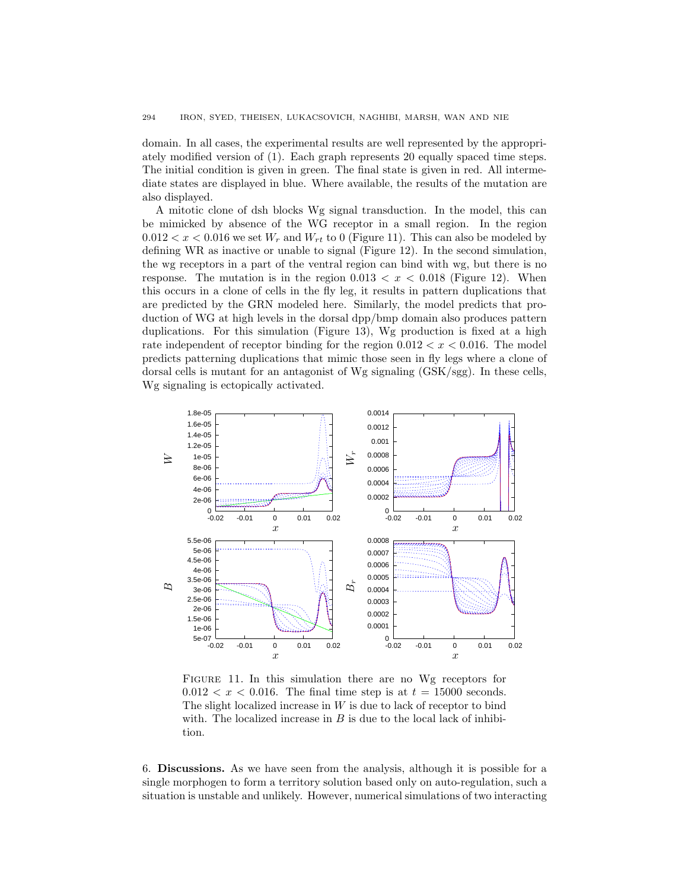domain. In all cases, the experimental results are well represented by the appropriately modified version of (1). Each graph represents 20 equally spaced time steps. The initial condition is given in green. The final state is given in red. All intermediate states are displayed in blue. Where available, the results of the mutation are also displayed.

A mitotic clone of dsh blocks Wg signal transduction. In the model, this can be mimicked by absence of the WG receptor in a small region. In the region  $0.012 < x < 0.016$  we set  $W_r$  and  $W_{rt}$  to 0 (Figure 11). This can also be modeled by defining WR as inactive or unable to signal (Figure 12). In the second simulation, the wg receptors in a part of the ventral region can bind with wg, but there is no response. The mutation is in the region  $0.013 < x < 0.018$  (Figure 12). When this occurs in a clone of cells in the fly leg, it results in pattern duplications that are predicted by the GRN modeled here. Similarly, the model predicts that production of WG at high levels in the dorsal dpp/bmp domain also produces pattern duplications. For this simulation (Figure 13), Wg production is fixed at a high rate independent of receptor binding for the region  $0.012 < x < 0.016$ . The model predicts patterning duplications that mimic those seen in fly legs where a clone of dorsal cells is mutant for an antagonist of Wg signaling (GSK/sgg). In these cells, Wg signaling is ectopically activated.



FIGURE 11. In this simulation there are no Wg receptors for  $0.012 < x < 0.016$ . The final time step is at  $t = 15000$  seconds. The slight localized increase in  $W$  is due to lack of receptor to bind with. The localized increase in  $B$  is due to the local lack of inhibition.

6. Discussions. As we have seen from the analysis, although it is possible for a single morphogen to form a territory solution based only on auto-regulation, such a situation is unstable and unlikely. However, numerical simulations of two interacting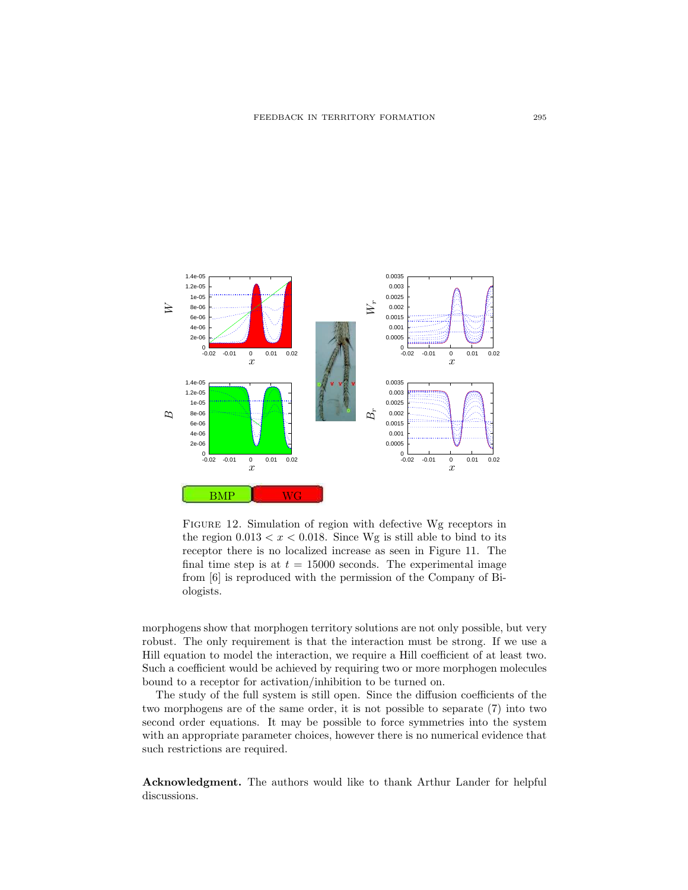

FIGURE 12. Simulation of region with defective Wg receptors in the region  $0.013 < x < 0.018$ . Since Wg is still able to bind to its receptor there is no localized increase as seen in Figure 11. The final time step is at  $t = 15000$  seconds. The experimental image from [6] is reproduced with the permission of the Company of Biologists.

morphogens show that morphogen territory solutions are not only possible, but very robust. The only requirement is that the interaction must be strong. If we use a Hill equation to model the interaction, we require a Hill coefficient of at least two. Such a coefficient would be achieved by requiring two or more morphogen molecules bound to a receptor for activation/inhibition to be turned on.

The study of the full system is still open. Since the diffusion coefficients of the two morphogens are of the same order, it is not possible to separate (7) into two second order equations. It may be possible to force symmetries into the system with an appropriate parameter choices, however there is no numerical evidence that such restrictions are required.

Acknowledgment. The authors would like to thank Arthur Lander for helpful discussions.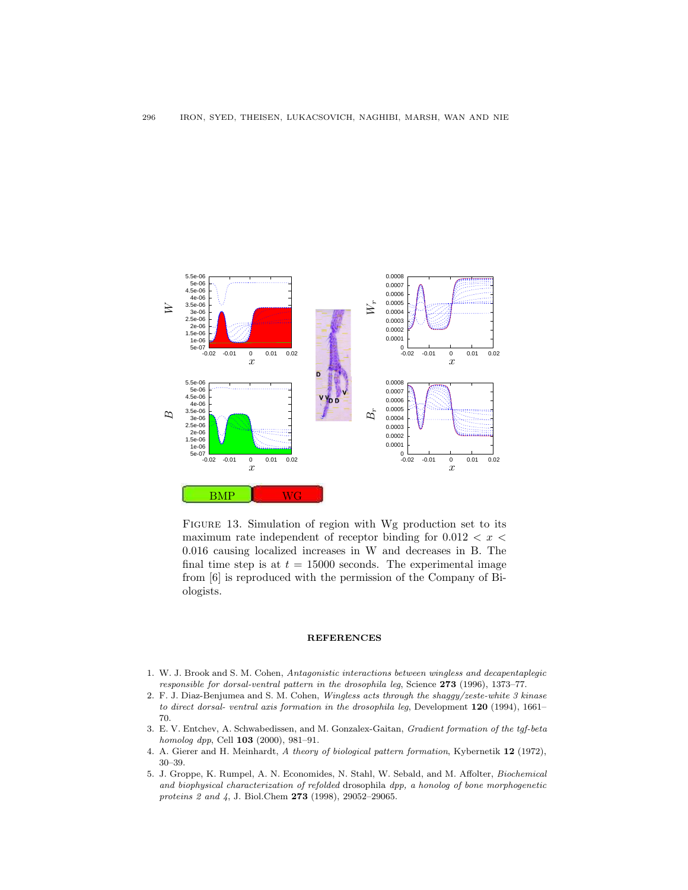

FIGURE 13. Simulation of region with Wg production set to its maximum rate independent of receptor binding for  $0.012 < x <$ 0.016 causing localized increases in W and decreases in B. The final time step is at  $t = 15000$  seconds. The experimental image from [6] is reproduced with the permission of the Company of Biologists.

### **REFERENCES**

- 1. W. J. Brook and S. M. Cohen, Antagonistic interactions between wingless and decapentaplegic responsible for dorsal-ventral pattern in the drosophila leg, Science 273 (1996), 1373–77.
- 2. F. J. Diaz-Benjumea and S. M. Cohen, Wingless acts through the shaggy/zeste-white 3 kinase to direct dorsal- ventral axis formation in the drosophila leg, Development 120 (1994), 1661– 70.
- 3. E. V. Entchev, A. Schwabedissen, and M. Gonzalex-Gaitan, Gradient formation of the tgf-beta homolog dpp, Cell 103 (2000), 981–91.
- 4. A. Gierer and H. Meinhardt, A theory of biological pattern formation, Kybernetik 12 (1972), 30–39.
- 5. J. Groppe, K. Rumpel, A. N. Economides, N. Stahl, W. Sebald, and M. Affolter, Biochemical and biophysical characterization of refolded drosophila dpp, a honolog of bone morphogenetic proteins 2 and 4, J. Biol.Chem 273 (1998), 29052–29065.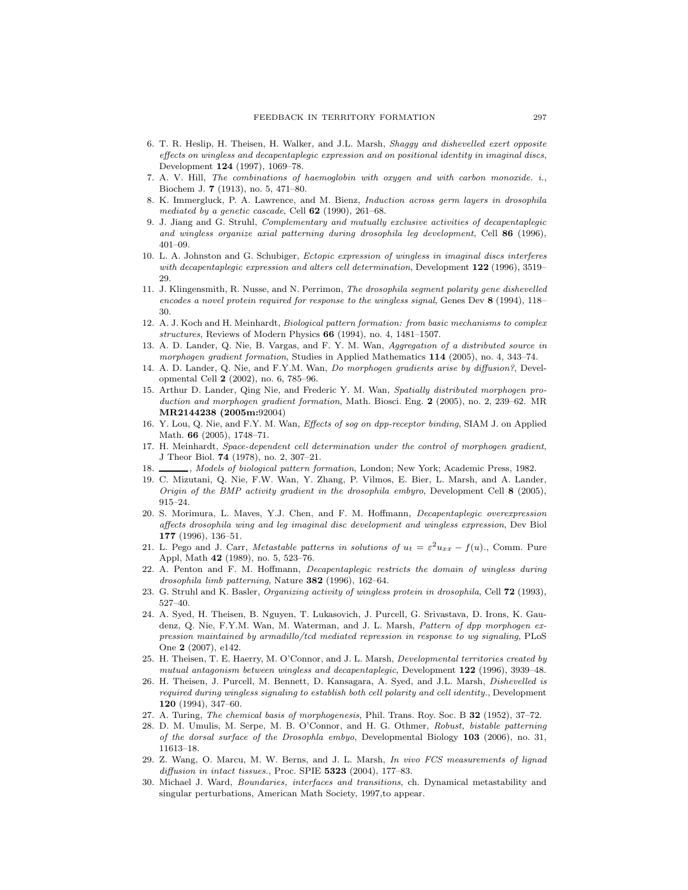- 6. T. R. Heslip, H. Theisen, H. Walker, and J.L. Marsh, Shaggy and dishevelled exert opposite effects on wingless and decapentaplegic expression and on positional identity in imaginal discs, Development 124 (1997), 1069–78.
- 7. A. V. Hill, The combinations of haemoglobin with oxygen and with carbon monoxide. i., Biochem J. 7 (1913), no. 5, 471–80.
- 8. K. Immergluck, P. A. Lawrence, and M. Bienz, Induction across germ layers in drosophila mediated by a genetic cascade, Cell 62 (1990), 261–68.
- 9. J. Jiang and G. Struhl, Complementary and mutually exclusive activities of decapentaplegic and wingless organize axial patterning during drosophila leg development, Cell 86 (1996), 401–09.
- 10. L. A. Johnston and G. Schubiger, Ectopic expression of wingless in imaginal discs interferes with decapentaplegic expression and alters cell determination, Development 122 (1996), 3519– 29.
- 11. J. Klingensmith, R. Nusse, and N. Perrimon, The drosophila segment polarity gene dishevelled encodes a novel protein required for response to the wingless signal, Genes Dev  $8$  (1994), 118– 30.
- 12. A. J. Koch and H. Meinhardt, Biological pattern formation: from basic mechanisms to complex structures, Reviews of Modern Physics 66 (1994), no. 4, 1481–1507.
- 13. A. D. Lander, Q. Nie, B. Vargas, and F. Y. M. Wan, Aggregation of a distributed source in morphogen gradient formation, Studies in Applied Mathematics 114 (2005), no. 4, 343–74.
- 14. A. D. Lander, Q. Nie, and F.Y.M. Wan, Do morphogen gradients arise by diffusion?, Developmental Cell 2 (2002), no. 6, 785–96.
- 15. Arthur D. Lander, Qing Nie, and Frederic Y. M. Wan, Spatially distributed morphogen production and morphogen gradient formation, Math. Biosci. Eng. 2 (2005), no. 2, 239–62. MR MR2144238 (2005m:92004)
- 16. Y. Lou, Q. Nie, and F.Y. M. Wan, Effects of sog on dpp-receptor binding, SIAM J. on Applied Math. 66 (2005), 1748–71.
- 17. H. Meinhardt, Space-dependent cell determination under the control of morphogen gradient, J Theor Biol. 74 (1978), no. 2, 307–21.
- 18. Models of biological pattern formation, London; New York; Academic Press, 1982.
- 19. C. Mizutani, Q. Nie, F.W. Wan, Y. Zhang, P. Vilmos, E. Bier, L. Marsh, and A. Lander, Origin of the BMP activity gradient in the drosophila embyro, Development Cell 8 (2005), 915–24.
- 20. S. Morimura, L. Maves, Y.J. Chen, and F. M. Hoffmann, Decapentaplegic overexpression affects drosophila wing and leg imaginal disc development and wingless expression, Dev Biol 177 (1996), 136–51.
- 21. L. Pego and J. Carr, Metastable patterns in solutions of  $u_t = \varepsilon^2 u_{xx} f(u)$ ., Comm. Pure Appl, Math 42 (1989), no. 5, 523–76.
- 22. A. Penton and F. M. Hoffmann, Decapentaplegic restricts the domain of wingless during drosophila limb patterning, Nature 382 (1996), 162–64.
- 23. G. Struhl and K. Basler, Organizing activity of wingless protein in drosophila, Cell 72 (1993), 527–40.
- 24. A. Syed, H. Theisen, B. Nguyen, T. Lukasovich, J. Purcell, G. Srivastava, D. Irons, K. Gaudenz, Q. Nie, F.Y.M. Wan, M. Waterman, and J. L. Marsh, Pattern of dpp morphogen expression maintained by armadillo/tcd mediated repression in response to wg signaling, PLoS One 2 (2007), e142.
- 25. H. Theisen, T. E. Haerry, M. O'Connor, and J. L. Marsh, Developmental territories created by mutual antagonism between wingless and decapentaplegic, Development 122 (1996), 3939-48.
- 26. H. Theisen, J. Purcell, M. Bennett, D. Kansagara, A. Syed, and J.L. Marsh, Dishevelled is required during wingless signaling to establish both cell polarity and cell identity., Development 120 (1994), 347–60.
- 27. A. Turing, The chemical basis of morphogenesis, Phil. Trans. Roy. Soc. B 32 (1952), 37–72.
- 28. D. M. Umulis, M. Serpe, M. B. O'Connor, and H. G. Othmer, Robust, bistable patterning of the dorsal surface of the Drosophla embyo, Developmental Biology 103 (2006), no. 31, 11613–18.
- 29. Z. Wang, O. Marcu, M. W. Berns, and J. L. Marsh, In vivo FCS measurements of lignad diffusion in intact tissues., Proc. SPIE 5323 (2004), 177–83.
- 30. Michael J. Ward, Boundaries, interfaces and transitions, ch. Dynamical metastability and singular perturbations, American Math Society, 1997,to appear.